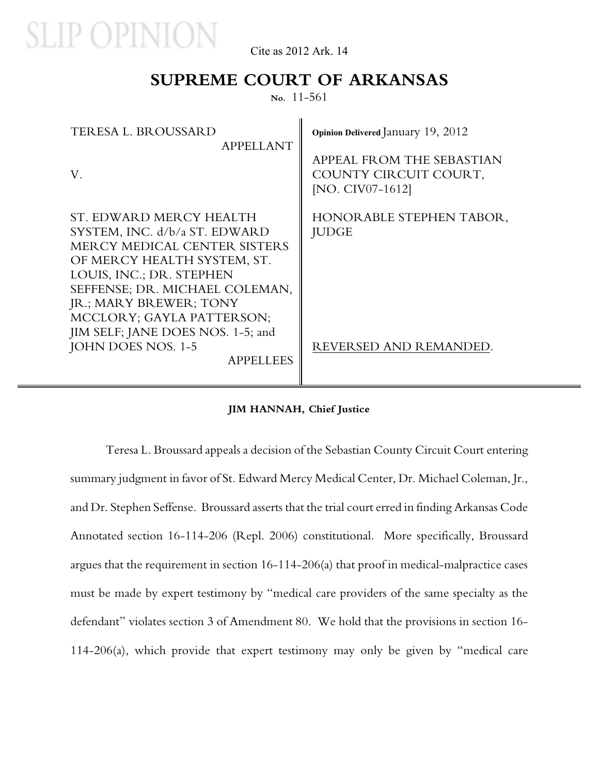

Cite as 2012 Ark. 14

### **SUPREME COURT OF ARKANSAS**

**No.** 11-561

| <b>TERESA L. BROUSSARD</b><br><b>APPELLANT</b>                                                                                                                                                                                               | Opinion Delivered January 19, 2012                                     |
|----------------------------------------------------------------------------------------------------------------------------------------------------------------------------------------------------------------------------------------------|------------------------------------------------------------------------|
| V.                                                                                                                                                                                                                                           | APPEAL FROM THE SEBASTIAN<br>COUNTY CIRCUIT COURT,<br>[NO. CIV07-1612] |
| ST. EDWARD MERCY HEALTH<br>SYSTEM, INC. d/b/a ST. EDWARD<br>MERCY MEDICAL CENTER SISTERS<br>OF MERCY HEALTH SYSTEM, ST.<br>LOUIS, INC.; DR. STEPHEN<br>SEFFENSE; DR. MICHAEL COLEMAN,<br>JR.; MARY BREWER; TONY<br>MCCLORY; GAYLA PATTERSON; | HONORABLE STEPHEN TABOR,<br><b>JUDGE</b>                               |
| JIM SELF; JANE DOES NOS. 1-5; and<br>JOHN DOES NOS. 1-5<br><b>APPELLEES</b>                                                                                                                                                                  | REVERSED AND REMANDED.                                                 |

#### **JIM HANNAH, Chief Justice**

Teresa L. Broussard appeals a decision of the Sebastian County Circuit Court entering summary judgment in favor of St. Edward Mercy Medical Center, Dr. Michael Coleman, Jr., and Dr. Stephen Seffense. Broussard asserts that the trial court erred in finding Arkansas Code Annotated section 16-114-206 (Repl. 2006) constitutional. More specifically, Broussard argues that the requirement in section 16-114-206(a) that proof in medical-malpractice cases must be made by expert testimony by "medical care providers of the same specialty as the defendant" violates section 3 of Amendment 80. We hold that the provisions in section 16- 114-206(a), which provide that expert testimony may only be given by "medical care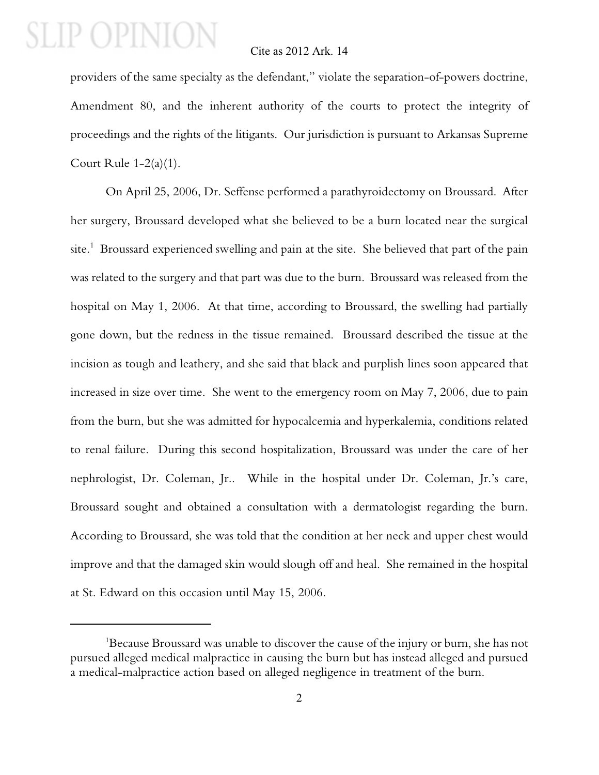### Cite as 2012 Ark. 14

providers of the same specialty as the defendant," violate the separation-of-powers doctrine, Amendment 80, and the inherent authority of the courts to protect the integrity of proceedings and the rights of the litigants. Our jurisdiction is pursuant to Arkansas Supreme Court Rule  $1-2(a)(1)$ .

On April 25, 2006, Dr. Seffense performed a parathyroidectomy on Broussard. After her surgery, Broussard developed what she believed to be a burn located near the surgical site.<sup>1</sup> Broussard experienced swelling and pain at the site. She believed that part of the pain was related to the surgery and that part was due to the burn. Broussard was released from the hospital on May 1, 2006. At that time, according to Broussard, the swelling had partially gone down, but the redness in the tissue remained. Broussard described the tissue at the incision as tough and leathery, and she said that black and purplish lines soon appeared that increased in size over time. She went to the emergency room on May 7, 2006, due to pain from the burn, but she was admitted for hypocalcemia and hyperkalemia, conditions related to renal failure. During this second hospitalization, Broussard was under the care of her nephrologist, Dr. Coleman, Jr.. While in the hospital under Dr. Coleman, Jr.'s care, Broussard sought and obtained a consultation with a dermatologist regarding the burn. According to Broussard, she was told that the condition at her neck and upper chest would improve and that the damaged skin would slough off and heal. She remained in the hospital at St. Edward on this occasion until May 15, 2006.

<sup>&</sup>lt;sup>1</sup>Because Broussard was unable to discover the cause of the injury or burn, she has not pursued alleged medical malpractice in causing the burn but has instead alleged and pursued a medical-malpractice action based on alleged negligence in treatment of the burn.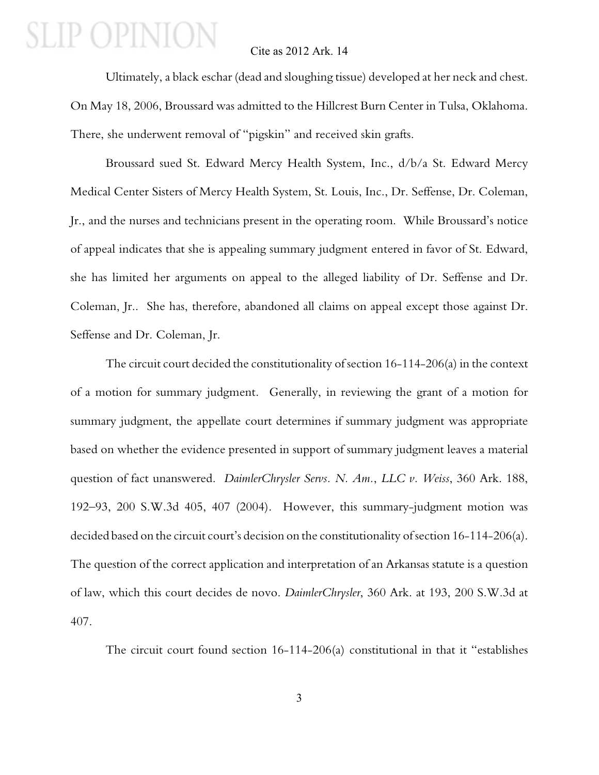#### Cite as 2012 Ark. 14

Ultimately, a black eschar (dead and sloughing tissue) developed at her neck and chest. On May 18, 2006, Broussard was admitted to the Hillcrest Burn Center in Tulsa, Oklahoma. There, she underwent removal of "pigskin" and received skin grafts.

Broussard sued St. Edward Mercy Health System, Inc., d/b/a St. Edward Mercy Medical Center Sisters of Mercy Health System, St. Louis, Inc., Dr. Seffense, Dr. Coleman, Jr., and the nurses and technicians present in the operating room. While Broussard's notice of appeal indicates that she is appealing summary judgment entered in favor of St. Edward, she has limited her arguments on appeal to the alleged liability of Dr. Seffense and Dr. Coleman, Jr.. She has, therefore, abandoned all claims on appeal except those against Dr. Seffense and Dr. Coleman, Jr.

The circuit court decided the constitutionality of section 16-114-206(a) in the context of a motion for summary judgment. Generally, in reviewing the grant of a motion for summary judgment, the appellate court determines if summary judgment was appropriate based on whether the evidence presented in support of summary judgment leaves a material question of fact unanswered. *DaimlerChrysler Servs. N. Am.*, *LLC v. Weiss*, 360 Ark. 188, 192–93, 200 S.W.3d 405, 407 (2004). However, this summary-judgment motion was decided based on the circuit court's decision on the constitutionality of section 16-114-206(a). The question of the correct application and interpretation of an Arkansas statute is a question of law, which this court decides de novo. *DaimlerChrysler*, 360 Ark. at 193, 200 S.W.3d at 407.

The circuit court found section 16-114-206(a) constitutional in that it "establishes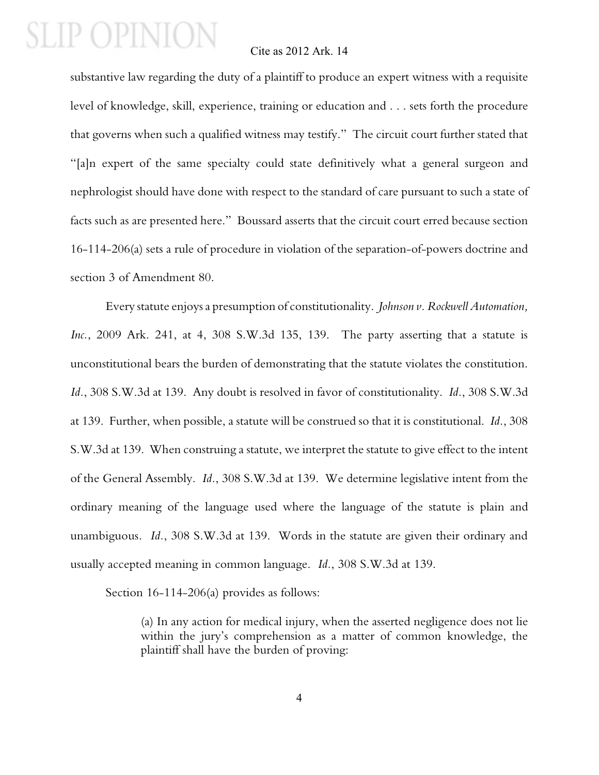### Cite as 2012 Ark. 14

substantive law regarding the duty of a plaintiff to produce an expert witness with a requisite level of knowledge, skill, experience, training or education and . . . sets forth the procedure that governs when such a qualified witness may testify." The circuit court further stated that "[a]n expert of the same specialty could state definitively what a general surgeon and nephrologist should have done with respect to the standard of care pursuant to such a state of facts such as are presented here." Boussard asserts that the circuit court erred because section 16-114-206(a) sets a rule of procedure in violation of the separation-of-powers doctrine and section 3 of Amendment 80.

Every statute enjoys a presumption of constitutionality. *Johnson v. Rockwell Automation, Inc.*, 2009 Ark. 241, at 4, 308 S.W.3d 135, 139. The party asserting that a statute is unconstitutional bears the burden of demonstrating that the statute violates the constitution. *Id.*, 308 S.W.3d at 139. Any doubt is resolved in favor of constitutionality. *Id.*, 308 S.W.3d at 139. Further, when possible, a statute will be construed so that it is constitutional. *Id.*, 308 S.W.3d at 139. When construing a statute, we interpret the statute to give effect to the intent of the General Assembly. *Id.*, 308 S.W.3d at 139. We determine legislative intent from the ordinary meaning of the language used where the language of the statute is plain and unambiguous. *Id.*, 308 S.W.3d at 139. Words in the statute are given their ordinary and usually accepted meaning in common language. *Id.*, 308 S.W.3d at 139.

Section 16-114-206(a) provides as follows:

(a) In any action for medical injury, when the asserted negligence does not lie within the jury's comprehension as a matter of common knowledge, the plaintiff shall have the burden of proving: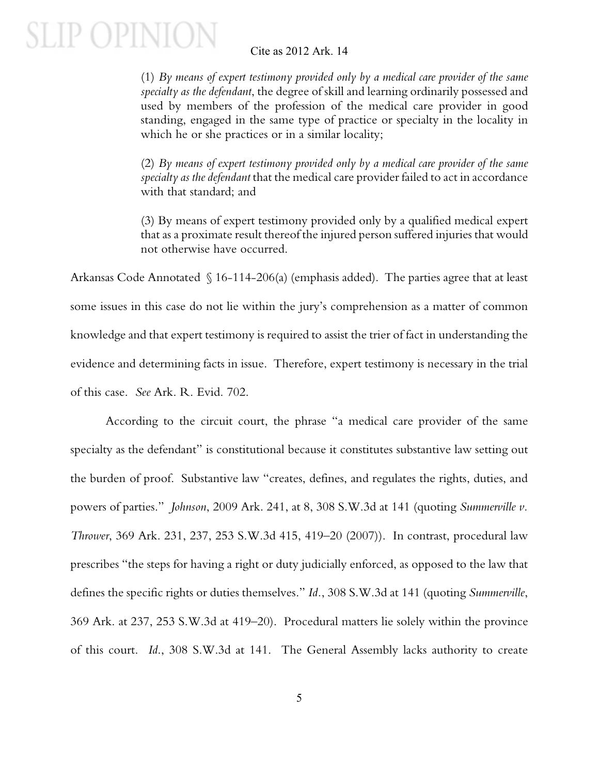### Cite as 2012 Ark. 14

(1) *By means of expert testimony provided only by a medical care provider of the same specialty as the defendant*, the degree of skill and learning ordinarily possessed and used by members of the profession of the medical care provider in good standing, engaged in the same type of practice or specialty in the locality in which he or she practices or in a similar locality;

(2) *By means of expert testimony provided only by a medical care provider of the same specialty as the defendant* that the medical care provider failed to act in accordance with that standard; and

(3) By means of expert testimony provided only by a qualified medical expert that as a proximate result thereof the injured person suffered injuries that would not otherwise have occurred.

Arkansas Code Annotated § 16-114-206(a) (emphasis added). The parties agree that at least some issues in this case do not lie within the jury's comprehension as a matter of common knowledge and that expert testimony is required to assist the trier of fact in understanding the evidence and determining facts in issue. Therefore, expert testimony is necessary in the trial of this case. *See* Ark. R. Evid. 702.

According to the circuit court, the phrase "a medical care provider of the same specialty as the defendant" is constitutional because it constitutes substantive law setting out the burden of proof. Substantive law "creates, defines, and regulates the rights, duties, and powers of parties." *Johnson*, 2009 Ark. 241, at 8, 308 S.W.3d at 141 (quoting *Summerville v. Thrower*, 369 Ark. 231, 237, 253 S.W.3d 415, 419–20 (2007)). In contrast, procedural law prescribes "the steps for having a right or duty judicially enforced, as opposed to the law that defines the specific rights or duties themselves." *Id.*, 308 S.W.3d at 141 (quoting *Summerville*, 369 Ark. at 237, 253 S.W.3d at 419–20). Procedural matters lie solely within the province of this court. *Id*., 308 S.W.3d at 141. The General Assembly lacks authority to create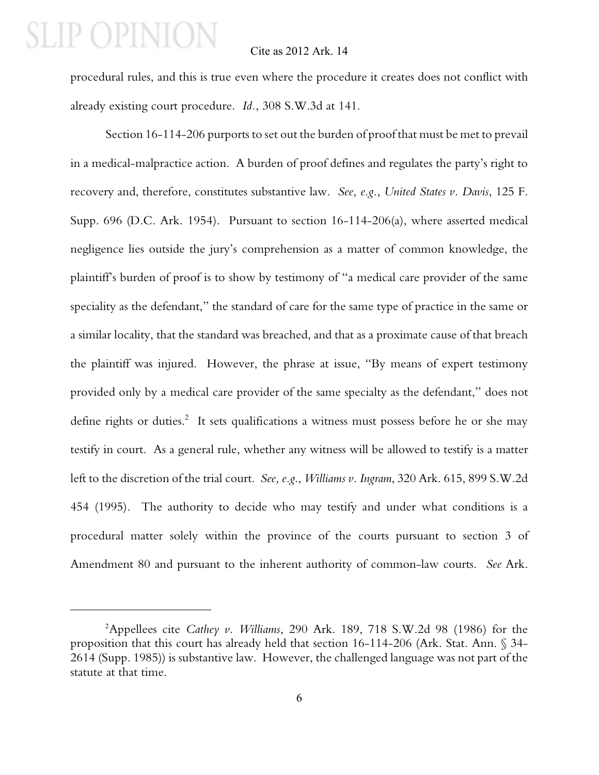#### Cite as 2012 Ark. 14

procedural rules, and this is true even where the procedure it creates does not conflict with already existing court procedure. *Id.*, 308 S.W.3d at 141.

Section 16-114-206 purports to set out the burden of proof that must be met to prevail in a medical-malpractice action. A burden of proof defines and regulates the party's right to recovery and, therefore, constitutes substantive law. *See, e.g.*, *United States v. Davis*, 125 F. Supp. 696 (D.C. Ark. 1954). Pursuant to section 16-114-206(a), where asserted medical negligence lies outside the jury's comprehension as a matter of common knowledge, the plaintiff's burden of proof is to show by testimony of "a medical care provider of the same speciality as the defendant," the standard of care for the same type of practice in the same or a similar locality, that the standard was breached, and that as a proximate cause of that breach the plaintiff was injured. However, the phrase at issue, "By means of expert testimony provided only by a medical care provider of the same specialty as the defendant," does not define rights or duties.<sup>2</sup> It sets qualifications a witness must possess before he or she may testify in court. As a general rule, whether any witness will be allowed to testify is a matter left to the discretion of the trial court. *See, e.g*., *Williams v. Ingram*, 320 Ark. 615, 899 S.W.2d 454 (1995). The authority to decide who may testify and under what conditions is a procedural matter solely within the province of the courts pursuant to section 3 of Amendment 80 and pursuant to the inherent authority of common-law courts. *See* Ark.

<sup>&</sup>lt;sup>2</sup>Appellees cite *Cathey v. Williams*, 290 Ark. 189, 718 S.W.2d 98 (1986) for the proposition that this court has already held that section 16-114-206 (Ark. Stat. Ann. § 34- 2614 (Supp. 1985)) is substantive law. However, the challenged language was not part of the statute at that time.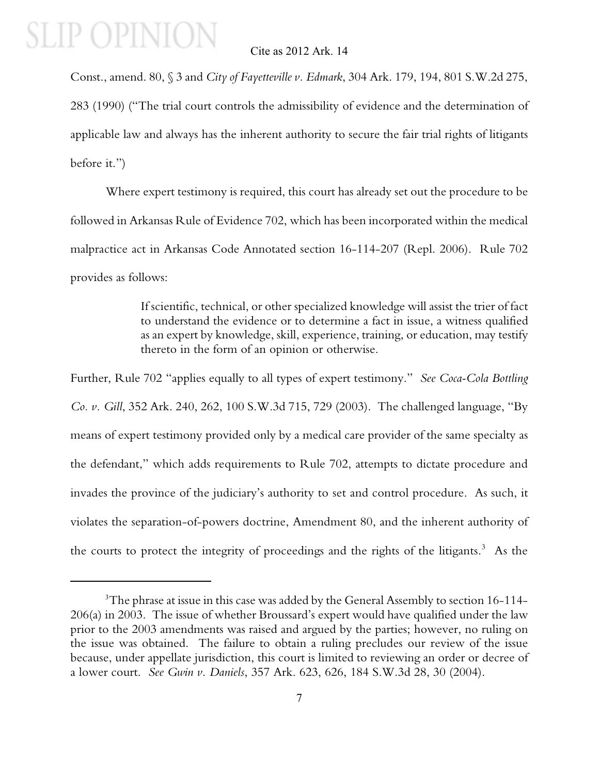### Cite as 2012 Ark. 14

Const., amend. 80, § 3 and *City of Fayetteville v. Edmark*, 304 Ark. 179, 194, 801 S.W.2d 275, 283 (1990) ("The trial court controls the admissibility of evidence and the determination of applicable law and always has the inherent authority to secure the fair trial rights of litigants before it.")

Where expert testimony is required, this court has already set out the procedure to be followed in Arkansas Rule of Evidence 702, which has been incorporated within the medical malpractice act in Arkansas Code Annotated section 16-114-207 (Repl. 2006). Rule 702 provides as follows:

> If scientific, technical, or other specialized knowledge will assist the trier of fact to understand the evidence or to determine a fact in issue, a witness qualified as an expert by knowledge, skill, experience, training, or education, may testify thereto in the form of an opinion or otherwise.

Further, Rule 702 "applies equally to all types of expert testimony." *See Coca-Cola Bottling Co. v. Gill*, 352 Ark. 240, 262, 100 S.W.3d 715, 729 (2003). The challenged language, "By means of expert testimony provided only by a medical care provider of the same specialty as the defendant," which adds requirements to Rule 702, attempts to dictate procedure and invades the province of the judiciary's authority to set and control procedure. As such, it violates the separation-of-powers doctrine, Amendment 80, and the inherent authority of the courts to protect the integrity of proceedings and the rights of the litigants.<sup>3</sup> As the

<sup>&</sup>lt;sup>3</sup>The phrase at issue in this case was added by the General Assembly to section 16-114-206(a) in 2003. The issue of whether Broussard's expert would have qualified under the law prior to the 2003 amendments was raised and argued by the parties; however, no ruling on the issue was obtained. The failure to obtain a ruling precludes our review of the issue because, under appellate jurisdiction, this court is limited to reviewing an order or decree of a lower court. *See Gwin v. Daniels*, 357 Ark. 623, 626, 184 S.W.3d 28, 30 (2004).